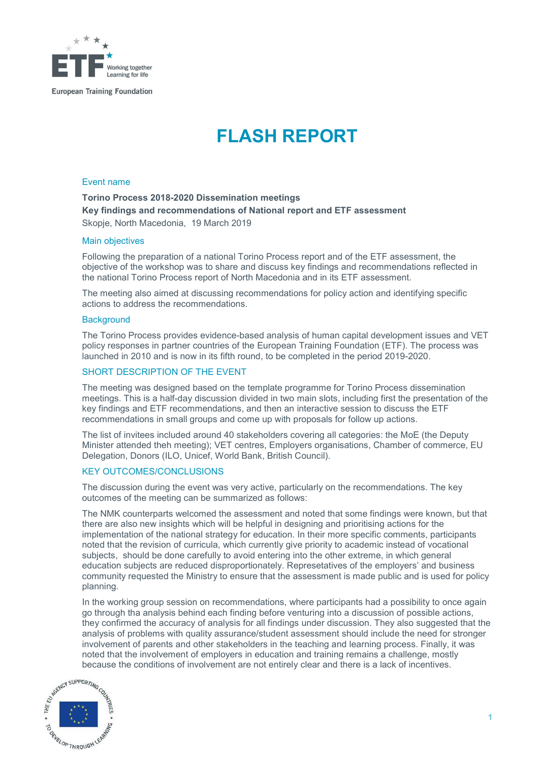

# FLASH REPORT

#### Event name

## Torino Process 2018-2020 Dissemination meetings Key findings and recommendations of National report and ETF assessment Skopje, North Macedonia, 19 March 2019

#### Main objectives

Following the preparation of a national Torino Process report and of the ETF assessment, the objective of the workshop was to share and discuss key findings and recommendations reflected in the national Torino Process report of North Macedonia and in its ETF assessment.

The meeting also aimed at discussing recommendations for policy action and identifying specific actions to address the recommendations.

#### **Background**

The Torino Process provides evidence-based analysis of human capital development issues and VET policy responses in partner countries of the European Training Foundation (ETF). The process was launched in 2010 and is now in its fifth round, to be completed in the period 2019-2020.

### SHORT DESCRIPTION OF THE EVENT

The meeting was designed based on the template programme for Torino Process dissemination meetings. This is a half-day discussion divided in two main slots, including first the presentation of the key findings and ETF recommendations, and then an interactive session to discuss the ETF recommendations in small groups and come up with proposals for follow up actions.

The list of invitees included around 40 stakeholders covering all categories: the MoE (the Deputy Minister attended theh meeting); VET centres, Employers organisations, Chamber of commerce, EU Delegation, Donors (ILO, Unicef, World Bank, British Council).

## KEY OUTCOMES/CONCLUSIONS

The discussion during the event was very active, particularly on the recommendations. The key outcomes of the meeting can be summarized as follows:

The NMK counterparts welcomed the assessment and noted that some findings were known, but that there are also new insights which will be helpful in designing and prioritising actions for the implementation of the national strategy for education. In their more specific comments, participants noted that the revision of curricula, which currently give priority to academic instead of vocational subjects, should be done carefully to avoid entering into the other extreme, in which general education subjects are reduced disproportionately. Represetatives of the employers' and business community requested the Ministry to ensure that the assessment is made public and is used for policy planning.

In the working group session on recommendations, where participants had a possibility to once again go through tha analysis behind each finding before venturing into a discussion of possible actions, they confirmed the accuracy of analysis for all findings under discussion. They also suggested that the analysis of problems with quality assurance/student assessment should include the need for stronger involvement of parents and other stakeholders in the teaching and learning process. Finally, it was noted that the involvement of employers in education and training remains a challenge, mostly